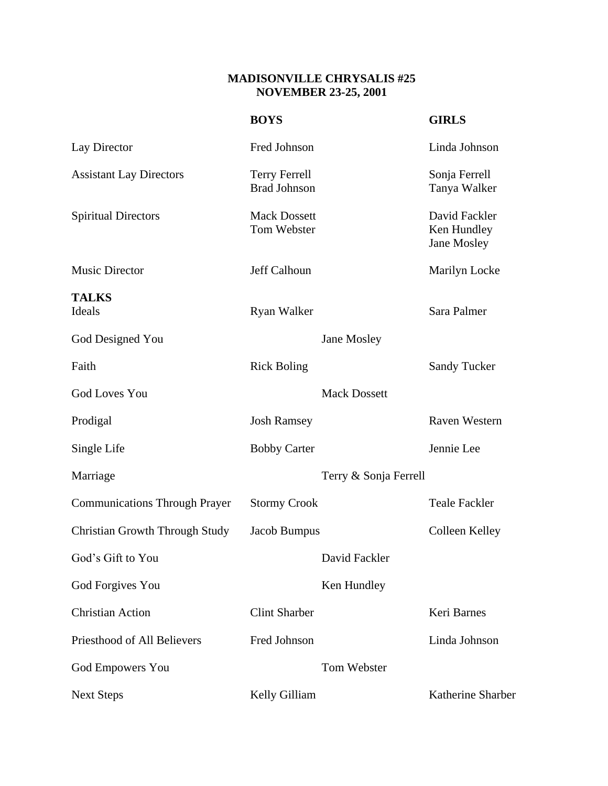## **MADISONVILLE CHRYSALIS #25 NOVEMBER 23-25, 2001**

|                                       | <b>BOYS</b>                                 |                       | <b>GIRLS</b>                                |
|---------------------------------------|---------------------------------------------|-----------------------|---------------------------------------------|
| Lay Director                          | Fred Johnson                                |                       | Linda Johnson                               |
| <b>Assistant Lay Directors</b>        | <b>Terry Ferrell</b><br><b>Brad Johnson</b> |                       | Sonja Ferrell<br>Tanya Walker               |
| <b>Spiritual Directors</b>            | <b>Mack Dossett</b><br>Tom Webster          |                       | David Fackler<br>Ken Hundley<br>Jane Mosley |
| <b>Music Director</b>                 | Jeff Calhoun                                |                       | Marilyn Locke                               |
| <b>TALKS</b><br>Ideals                | Ryan Walker                                 |                       | Sara Palmer                                 |
| God Designed You                      |                                             | Jane Mosley           |                                             |
| Faith                                 | <b>Rick Boling</b>                          |                       | <b>Sandy Tucker</b>                         |
| <b>God Loves You</b>                  |                                             | <b>Mack Dossett</b>   |                                             |
| Prodigal                              | <b>Josh Ramsey</b>                          |                       | <b>Raven Western</b>                        |
| Single Life                           | <b>Bobby Carter</b>                         |                       | Jennie Lee                                  |
| Marriage                              |                                             | Terry & Sonja Ferrell |                                             |
| <b>Communications Through Prayer</b>  | <b>Stormy Crook</b>                         |                       | <b>Teale Fackler</b>                        |
| <b>Christian Growth Through Study</b> | Jacob Bumpus                                |                       | Colleen Kelley                              |
| God's Gift to You                     |                                             | David Fackler         |                                             |
| God Forgives You                      |                                             | Ken Hundley           |                                             |
| <b>Christian Action</b>               | <b>Clint Sharber</b>                        |                       | Keri Barnes                                 |
| Priesthood of All Believers           | Fred Johnson                                |                       | Linda Johnson                               |
| <b>God Empowers You</b>               |                                             | Tom Webster           |                                             |
| <b>Next Steps</b>                     | Kelly Gilliam                               |                       | Katherine Sharber                           |